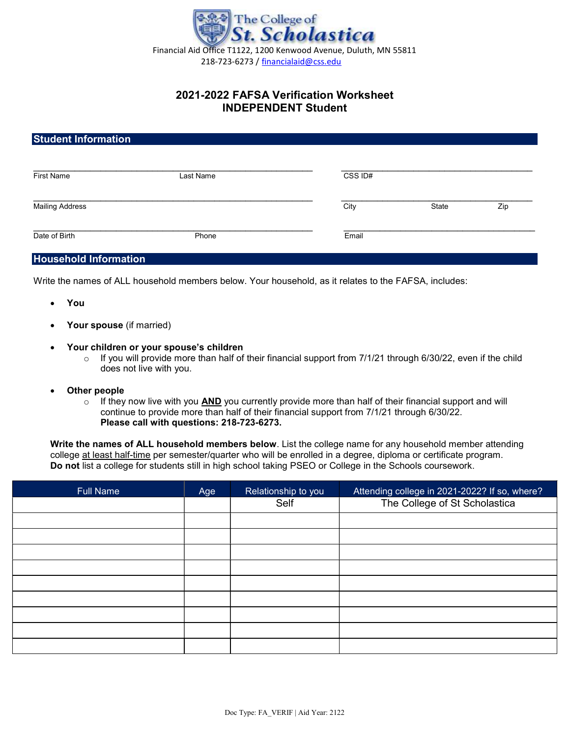

## 2021-2022 FAFSA Verification Worksheet INDEPENDENT Student

## Student Information

| <b>First Name</b>      | Last Name | CSS ID# |       |     |
|------------------------|-----------|---------|-------|-----|
| <b>Mailing Address</b> |           | City    | State | Zip |
| Date of Birth          | Phone     | Email   |       |     |

## Household Information

Write the names of ALL household members below. Your household, as it relates to the FAFSA, includes:

- You
- Your spouse (if married)
- Your children or your spouse's children
	- o If you will provide more than half of their financial support from 7/1/21 through 6/30/22, even if the child does not live with you.
- Other people
	- $\circ$  If they now live with you AND you currently provide more than half of their financial support and will continue to provide more than half of their financial support from 7/1/21 through 6/30/22. Please call with questions: 218-723-6273.

Write the names of ALL household members below. List the college name for any household member attending college at least half-time per semester/quarter who will be enrolled in a degree, diploma or certificate program. Do not list a college for students still in high school taking PSEO or College in the Schools coursework.

| <b>Full Name</b> | Age | Relationship to you | Attending college in 2021-2022? If so, where? |
|------------------|-----|---------------------|-----------------------------------------------|
|                  |     | Self                | The College of St Scholastica                 |
|                  |     |                     |                                               |
|                  |     |                     |                                               |
|                  |     |                     |                                               |
|                  |     |                     |                                               |
|                  |     |                     |                                               |
|                  |     |                     |                                               |
|                  |     |                     |                                               |
|                  |     |                     |                                               |
|                  |     |                     |                                               |